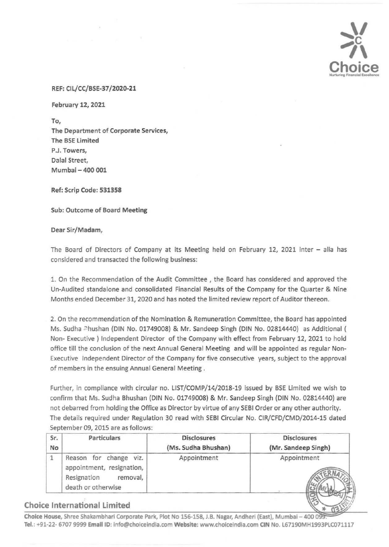

## REF: CIL/CC/BSE-37/2020-21

February 12, 2021

To, The Department of Corporate Services, The BSE Limited P.J. Towers, Dalal Street, Mumbai - 400 001

Ref: Scrip Code: 531358

Sub: Outcome of Board Meeting

Dear Sir/Madam,

The Board of Directors of Company at its Meeting held on February 12, 2021 inter  $-$  alia has considered and transacted the following business:

1. On the Recommendation of the Audit Committee , the Board has considered and approved the Un-Audited standalone and consolidated Financial Results of the Company for the Quarter & Nine Months ended December 31, 2020 and has noted the limited review report of Auditor thereon.

2. On the recommendation of the Nomination & Remuneration Committee, the Board has appointed Ms. Sudha ~hushan (DIN No. 01749008) & Mr. Sandeep Singh (DIN No. 02814440) as Additional ( Non- Executive ) Independent Director of the Company with effect from February 12, 2021 to hold office till the conclusion of the next Annual General Meeting and will be appointed as regular Non-Executive Independent Director of the Company for five consecutive years, subject to the approval of members in the ensuing Annual General Meeting.

Further, in compliance with circular no. LIST/COMP/14/2018-19 issued by BSE Limited we wish to confirm that Ms. Sudha Bhushan (DIN No. 01749008) & Mr. Sandeep Singh (DIN No. 02814440) are not debarred from holding the Office as Director by virtue of any SEBI Order or any other authority. The details required under Regulation 30 read with SEBI Circular No. CIR/CFD/CMD/2014-15 dated September 09, 2015 are as follows:

| Sr. | <b>Particulars</b>                                                                                         | <b>Disclosures</b>  | <b>Disclosures</b>  |
|-----|------------------------------------------------------------------------------------------------------------|---------------------|---------------------|
| No  |                                                                                                            | (Ms. Sudha Bhushan) | (Mr. Sandeep Singh) |
|     | viz.<br>Reason for<br>change<br>appointment, resignation,<br>Resignation<br>removal,<br>death or otherwise | Appointment         | Appointment         |

## Choice International limited

Choice House, Shree Shakambhari Corporate Park, Plot No 156-158, J.B. Nagar, Andheri (East), Mumbai - 400 099 Tel.: +91·22· 6707 9999 Emali iD: lnfo@cholcelndia.com Website: www.cholcelndla.com CIN No. L67190MH1993PLC071117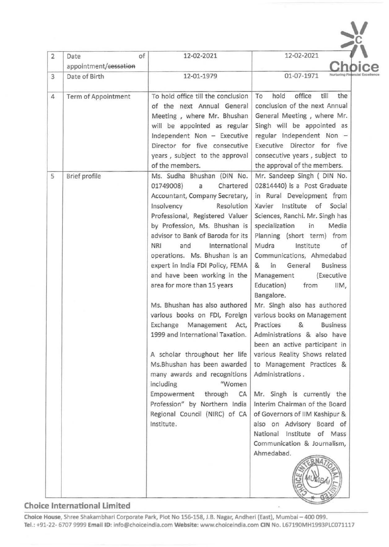| $\overline{2}$ | of<br>Date            | 12-02-2021                                                                                                                                                                                                                                                                                                                                                                                                                                  | 12-02-2021                                                                                                                                                                                                                                                                                                                                                                                                                        |
|----------------|-----------------------|---------------------------------------------------------------------------------------------------------------------------------------------------------------------------------------------------------------------------------------------------------------------------------------------------------------------------------------------------------------------------------------------------------------------------------------------|-----------------------------------------------------------------------------------------------------------------------------------------------------------------------------------------------------------------------------------------------------------------------------------------------------------------------------------------------------------------------------------------------------------------------------------|
|                | appointment/cessation |                                                                                                                                                                                                                                                                                                                                                                                                                                             |                                                                                                                                                                                                                                                                                                                                                                                                                                   |
| 3              | Date of Birth         | 12-01-1979                                                                                                                                                                                                                                                                                                                                                                                                                                  | 01-07-1971<br>Nurturing Fi                                                                                                                                                                                                                                                                                                                                                                                                        |
| 4              | Term of Appointment   | To hold office till the conclusion<br>of the next Annual General<br>Meeting, where Mr. Bhushan<br>will be appointed as regular<br>Independent Non - Executive<br>Director for five consecutive<br>years, subject to the approval<br>of the members.                                                                                                                                                                                         | the<br>hold<br>office<br>till<br>To<br>conclusion of the next Annual<br>General Meeting, where Mr.<br>Singh will be appointed as<br>regular Independent Non -<br>Executive Director for five<br>consecutive years, subject to<br>the approval of the members.                                                                                                                                                                     |
| 5              | Brief profile         | Ms. Sudha Bhushan (DIN No.<br>01749008)<br>Chartered<br>a<br>Accountant, Company Secretary,<br>Resolution<br>Insolvency<br>Professional, Registered Valuer<br>by Profession, Ms. Bhushan is<br>advisor to Bank of Baroda for its<br><b>NRI</b><br>and<br>International<br>operations. Ms. Bhushan is an<br>expert in India FDI Policy, FEMA<br>and have been working in the<br>area for more than 15 years<br>Ms. Bhushan has also authored | Mr. Sandeep Singh ( DIN No.<br>02814440) is a Post Graduate<br>in Rural Development from<br>Xavier Institute of Social<br>Sciences, Ranchi. Mr. Singh has<br>specialization<br>in<br>Media<br>Planning (short term) from<br>Mudra<br>Institute<br>of<br>Communications, Ahmedabad<br>&<br>in<br>General<br><b>Business</b><br>(Executive<br>Management<br>Education)<br>from<br>IIM,<br>Bangalore.<br>Mr. Singh also has authored |
|                |                       | various books on FDI, Foreign<br>Exchange<br>Management Act,<br>1999 and International Taxation.<br>A scholar throughout her life<br>Ms.Bhushan has been awarded<br>many awards and recognitions<br>including<br>"Women<br>Empowerment<br>through<br>CA<br>Profession" by Northern India<br>Regional Council (NIRC) of CA<br>Institute.                                                                                                     | various books on Management<br>Practices<br><b>Business</b><br>&<br>Administrations & also have<br>been an active participant in<br>various Reality Shows related<br>to Management Practices &<br>Administrations.<br>Mr. Singh is currently the<br>Interim Chairman of the Board<br>of Governors of IIM Kashipur &<br>also on Advisory Board of<br>National Institute of Mass<br>Communication & Journalism,<br>Ahmedabad.       |

## **Choice International Limited**

Choice House, Shree Shakambhari Corporate Park, Plot No 156-158, J.B. Nagar, Andheri (East), Mumbai - 400 099. Tel.: +91-22- 6707 9999 Email ID: info@choiceindia.com Website: www.choiceindia.com CIN No. L67190MH1993PLC071117